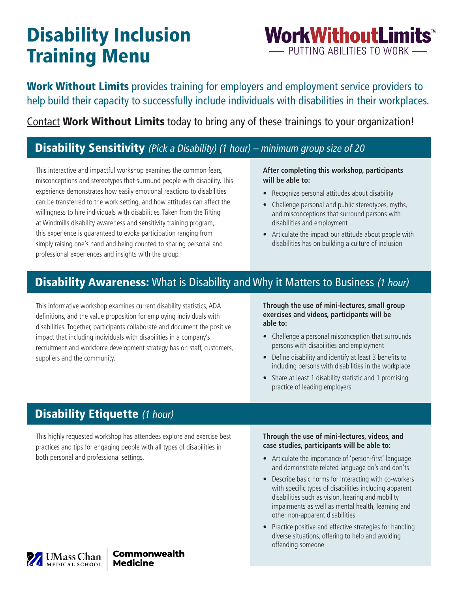# Disability Inclusion Training Menu

**WorkWithoutLimits<sup>™</sup><br>— PUTTING ABILITIES TO WORK —** 

Work Without Limits provides training for employers and employment service providers to help build their capacity to successfully include individuals with disabilities in their workplaces.

[Contact](http://www.workwithoutlimits.org/contact/) Work Without Limits today to bring any of these trainings to your organization!

### Disability Sensitivity (Pick a Disability) (1 hour) – minimum group size of 20

This interactive and impactful workshop examines the common fears, misconceptions and stereotypes that surround people with disability. This experience demonstrates how easily emotional reactions to disabilities can be transferred to the work setting, and how attitudes can affect the willingness to hire individuals with disabilities. Taken from the Tilting at Windmills disability awareness and sensitivity training program, this experience is guaranteed to evoke participation ranging from simply raising one's hand and being counted to sharing personal and professional experiences and insights with the group.

#### **After completing this workshop, participants will be able to:**

- Recognize personal attitudes about disability
- Challenge personal and public stereotypes, myths, and misconceptions that surround persons with disabilities and employment
- Articulate the impact our attitude about people with disabilities has on building a culture of inclusion

### **Disability Awareness:** What is Disability and Why it Matters to Business (1 hour)

This informative workshop examines current disability statistics, ADA definitions, and the value proposition for employing individuals with disabilities. Together, participants collaborate and document the positive impact that including individuals with disabilities in a company's recruitment and workforce development strategy has on staff, customers, suppliers and the community.

**Through the use of mini-lectures, small group exercises and videos, participants will be able to:** 

- Challenge a personal misconception that surrounds persons with disabilities and employment
- Define disability and identify at least 3 benefits to including persons with disabilities in the workplace
- Share at least 1 disability statistic and 1 promising practice of leading employers

### **Disability Etiquette (1 hour)**

This highly requested workshop has attendees explore and exercise best practices and tips for engaging people with all types of disabilities in both personal and professional settings. example and the importance of 'person-first' language both personal and professional settings.

#### **Through the use of mini-lectures, videos, and case studies, participants will be able to:**

- and demonstrate related language do's and don'ts
- Describe basic norms for interacting with co-workers with specific types of disabilities including apparent disabilities such as vision, hearing and mobility impairments as well as mental health, learning and other non-apparent disabilities
- Practice positive and effective strategies for handling diverse situations, offering to help and avoiding offending someone

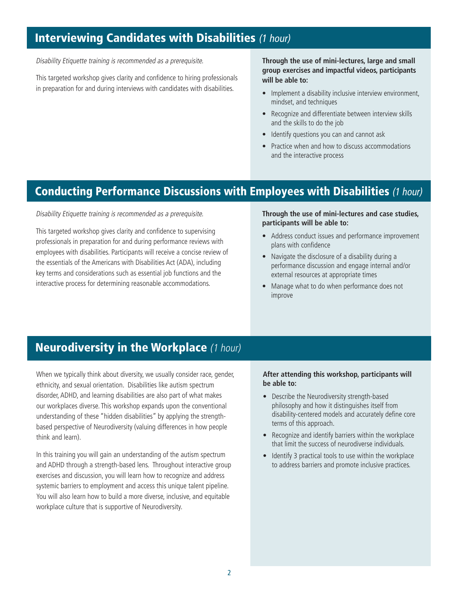### **Interviewing Candidates with Disabilities** (1 hour)

Disability Etiquette training is recommended as a prerequisite.

This targeted workshop gives clarity and confidence to hiring professionals in preparation for and during interviews with candidates with disabilities.

#### **Through the use of mini-lectures, large and small group exercises and impactful videos, participants will be able to:**

- Implement a disability inclusive interview environment, mindset, and techniques
- Recognize and differentiate between interview skills and the skills to do the job
- Identify questions you can and cannot ask
- Practice when and how to discuss accommodations and the interactive process

### Conducting Performance Discussions with Employees with Disabilities (1 hour)

Disability Etiquette training is recommended as a prerequisite.

This targeted workshop gives clarity and confidence to supervising professionals in preparation for and during performance reviews with employees with disabilities. Participants will receive a concise review of the essentials of the Americans with Disabilities Act (ADA), including key terms and considerations such as essential job functions and the interactive process for determining reasonable accommodations.

#### **Through the use of mini-lectures and case studies, participants will be able to:**

- Address conduct issues and performance improvement plans with confdence
- Navigate the disclosure of a disability during a performance discussion and engage internal and/or external resources at appropriate times
- Manage what to do when performance does not improve

### Neurodiversity in the Workplace (1 hour)

 think and learn). When we typically think about diversity, we usually consider race, gender, ethnicity, and sexual orientation. Disabilities like autism spectrum disorder, ADHD, and learning disabilities are also part of what makes our workplaces diverse. This workshop expands upon the conventional understanding of these "hidden disabilities" by applying the strengthbased perspective of Neurodiversity (valuing differences in how people When we typically think about diversity, we usually consider race, gender,<br>
disorder, ADHD, and learning disabilities are also part of what makes<br>
our workplaces diverse. This workshop, experiment based<br>
our workplaces div

 and ADHD through a strength-based lens. Throughout interactive group systemic barriers to employment and access this unique talent pipeline. workplace culture that is supportive of Neurodiversity. In this training you will gain an understanding of the autism spectrum exercises and discussion, you will learn how to recognize and address You will also learn how to build a more diverse, inclusive, and equitable

# **be able to:**

- Describe the Neurodiversity strength-based philosophy and how it distinguishes itself from disability-centered models and accurately defne core terms of this approach.
- Recognize and identify barriers within the workplace that limit the success of neurodiverse individuals.
- Identify 3 practical tools to use within the workplace to address barriers and promote inclusive practices.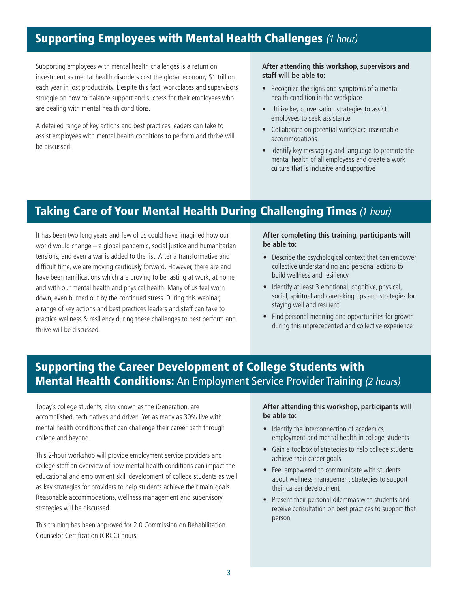### Supporting Employees with Mental Health Challenges (1 hour)

Supporting employees with mental health challenges is a return on investment as mental health disorders cost the global economy \$1 trillion each year in lost productivity. Despite this fact, workplaces and supervisors struggle on how to balance support and success for their employees who are dealing with mental health conditions.

A detailed range of key actions and best practices leaders can take to assist employees with mental health conditions to perform and thrive will be discussed.

#### **After attending this workshop, supervisors and staff will be able to:**

- Recognize the signs and symptoms of a mental health condition in the workplace
- Utilize key conversation strategies to assist employees to seek assistance
- Collaborate on potential workplace reasonable accommodations
- Identify key messaging and language to promote the mental health of all employees and create a work culture that is inclusive and supportive

### Taking Care of Your Mental Health During Challenging Times (1 hour)

It has been two long years and few of us could have imagined how our world would change – a global pandemic, social justice and humanitarian tensions, and even a war is added to the list. After a transformative and difficult time, we are moving cautiously forward. However, there are and have been ramifcations which are proving to be lasting at work, at home and with our mental health and physical health. Many of us feel worn down, even burned out by the continued stress. During this webinar, a range of key actions and best practices leaders and staff can take to practice wellness & resiliency during these challenges to best perform and thrive will be discussed.

#### **After completing this training, participants will be able to:**

- Describe the psychological context that can empower collective understanding and personal actions to build wellness and resiliency
- Identify at least 3 emotional, cognitive, physical, social, spiritual and caretaking tips and strategies for staying well and resilient
- Find personal meaning and opportunities for growth during this unprecedented and collective experience

### Supporting the Career Development of College Students with **Mental Health Conditions:** An Employment Service Provider Training (2 hours)

Today's college students, also known as the iGeneration, are accomplished, tech natives and driven. Yet as many as 30% live with mental health conditions that can challenge their career path through college and beyond.

This 2-hour workshop will provide employment service providers and college staff an overview of how mental health conditions can impact the educational and employment skill development of college students as well as key strategies for providers to help students achieve their main goals. Reasonable accommodations, wellness management and supervisory strategies will be discussed.

This training has been approved for 2.0 Commission on Rehabilitation Counselor Certification (CRCC) hours.

#### **After attending this workshop, participants will be able to:**

- Identify the interconnection of academics, employment and mental health in college students
- Gain a toolbox of strategies to help college students achieve their career goals
- Feel empowered to communicate with students about wellness management strategies to support their career development
- Present their personal dilemmas with students and receive consultation on best practices to support that person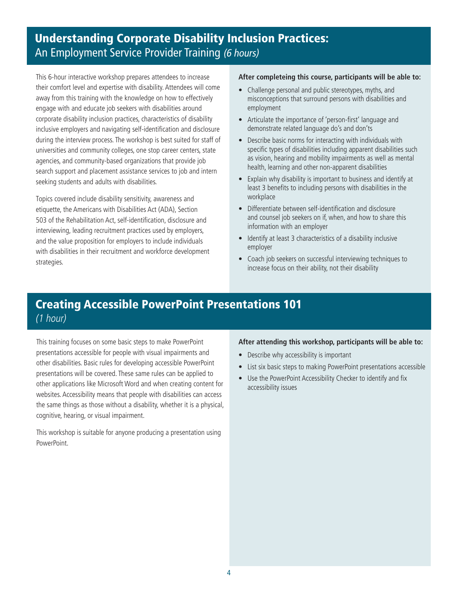### Understanding Corporate Disability Inclusion Practices: An Employment Service Provider Training (6 hours)

This 6-hour interactive workshop prepares attendees to increase their comfort level and expertise with disability. Attendees will come away from this training with the knowledge on how to effectively engage with and educate job seekers with disabilities around corporate disability inclusion practices, characteristics of disability inclusive employers and navigating self-identifcation and disclosure during the interview process. The workshop is best suited for staff of universities and community colleges, one stop career centers, state agencies, and community-based organizations that provide job search support and placement assistance services to job and intern seeking students and adults with disabilities.

Topics covered include disability sensitivity, awareness and etiquette, the Americans with Disabilities Act (ADA), Section 503 of the Rehabilitation Act, self-identifcation, disclosure and interviewing, leading recruitment practices used by employers, and the value proposition for employers to include individuals with disabilities in their recruitment and workforce development strategies.

#### **After completeing this course, participants will be able to:**

- Challenge personal and public stereotypes, myths, and misconceptions that surround persons with disabilities and employment
- Articulate the importance of 'person-first' language and demonstrate related language do's and don'ts
- Describe basic norms for interacting with individuals with specific types of disabilities including apparent disabilities such as vision, hearing and mobility impairments as well as mental health, learning and other non-apparent disabilities
- Explain why disability is important to business and identify at least 3 benefts to including persons with disabilities in the workplace
- Differentiate between self-identification and disclosure and counsel job seekers on if, when, and how to share this information with an employer
- Identify at least 3 characteristics of a disability inclusive employer
- Coach job seekers on successful interviewing techniques to increase focus on their ability, not their disability

### Creating Accessible PowerPoint Presentations 101 (1 hour)

This training focuses on some basic steps to make PowerPoint presentations accessible for people with visual impairments and other disabilities. Basic rules for developing accessible PowerPoint presentations will be covered. These same rules can be applied to other applications like Microsoft Word and when creating content for websites. Accessibility means that people with disabilities can access the same things as those without a disability, whether it is a physical, cognitive, hearing, or visual impairment.

This workshop is suitable for anyone producing a presentation using PowerPoint.

#### **After attending this workshop, participants will be able to:**

- Describe why accessibility is important
- List six basic steps to making PowerPoint presentations accessible
- Use the PowerPoint Accessibility Checker to identify and fix accessibility issues